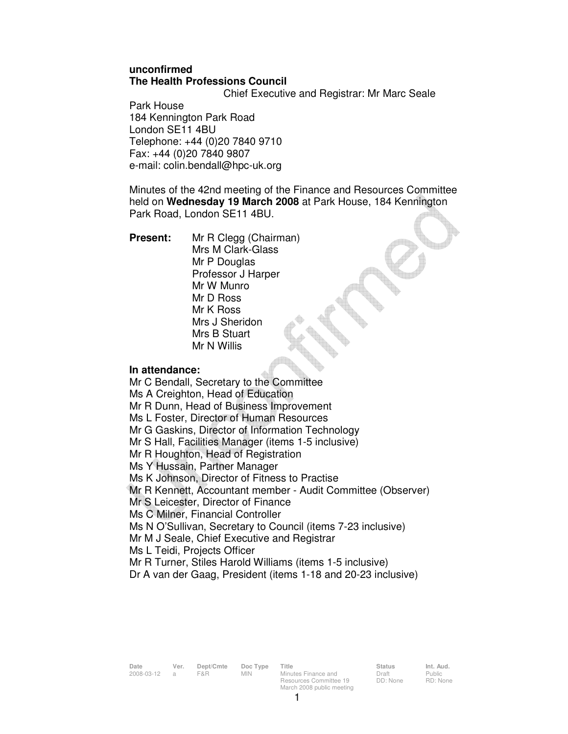### **unconfirmed The Health Professions Council**

Chief Executive and Registrar: Mr Marc Seale

Park House 184 Kennington Park Road London SE11 4BU Telephone: +44 (0)20 7840 9710 Fax: +44 (0)20 7840 9807 e-mail: colin.bendall@hpc-uk.org

Minutes of the 42nd meeting of the Finance and Resources Committee held on **Wednesday 19 March 2008** at Park House, 184 Kennington Park Road, London SE11 4BU.

**Present:** Mr R Clegg (Chairman) Mrs M Clark-Glass Mr P Douglas Professor J Harper Mr W Munro Mr D Ross Mr K Ross Mrs J Sheridon Mrs B Stuart Mr N Willis

### **In attendance:**

Mr C Bendall, Secretary to the Committee Ms A Creighton, Head of Education Mr R Dunn, Head of Business Improvement Ms L Foster, Director of Human Resources Mr G Gaskins, Director of Information Technology Mr S Hall, Facilities Manager (items 1-5 inclusive) Mr R Houghton, Head of Registration Ms Y Hussain, Partner Manager Ms K Johnson, Director of Fitness to Practise Mr R Kennett, Accountant member - Audit Committee (Observer) Mr S Leicester, Director of Finance Ms C Milner, Financial Controller Ms N O'Sullivan, Secretary to Council (items 7-23 inclusive) Mr M J Seale, Chief Executive and Registrar Ms L Teidi, Projects Officer Mr R Turner, Stiles Harold Williams (items 1-5 inclusive) Dr A van der Gaag, President (items 1-18 and 20-23 inclusive)

Draft DD: None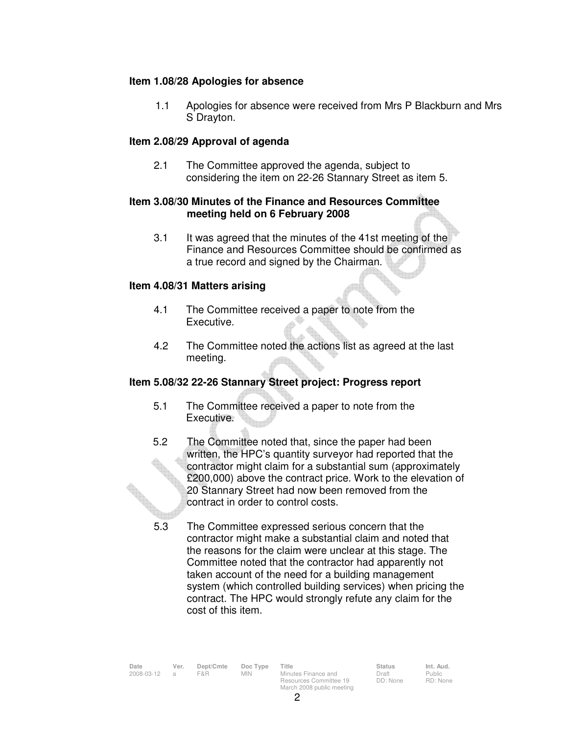### **Item 1.08/28 Apologies for absence**

1.1 Apologies for absence were received from Mrs P Blackburn and Mrs S Drayton.

#### **Item 2.08/29 Approval of agenda**

 2.1 The Committee approved the agenda, subject to considering the item on 22-26 Stannary Street as item 5.

### **Item 3.08/30 Minutes of the Finance and Resources Committee meeting held on 6 February 2008**

3.1 It was agreed that the minutes of the 41st meeting of the Finance and Resources Committee should be confirmed as a true record and signed by the Chairman.

#### **Item 4.08/31 Matters arising**

- 4.1 The Committee received a paper to note from the Executive.
- 4.2 The Committee noted the actions list as agreed at the last meeting.

#### **Item 5.08/32 22-26 Stannary Street project: Progress report**

- 5.1 The Committee received a paper to note from the Executive.
- 5.2 The Committee noted that, since the paper had been written, the HPC's quantity surveyor had reported that the contractor might claim for a substantial sum (approximately £200,000) above the contract price. Work to the elevation of 20 Stannary Street had now been removed from the contract in order to control costs.
- 5.3 The Committee expressed serious concern that the contractor might make a substantial claim and noted that the reasons for the claim were unclear at this stage. The Committee noted that the contractor had apparently not taken account of the need for a building management system (which controlled building services) when pricing the contract. The HPC would strongly refute any claim for the cost of this item.

| Date       | Ver. | Dept/Cmte | Doc Type | Title                     | <b>Status</b> | Int. Aud.     |
|------------|------|-----------|----------|---------------------------|---------------|---------------|
| 2008-03-12 |      | F&R       | MIN.     | Minutes Finance and       | Draft         | <b>Public</b> |
|            |      |           |          | Resources Committee 19    | DD: None      | RD: Non       |
|            |      |           |          | March 2008 public meeting |               |               |

Public RD: None

 $\mathfrak{p}$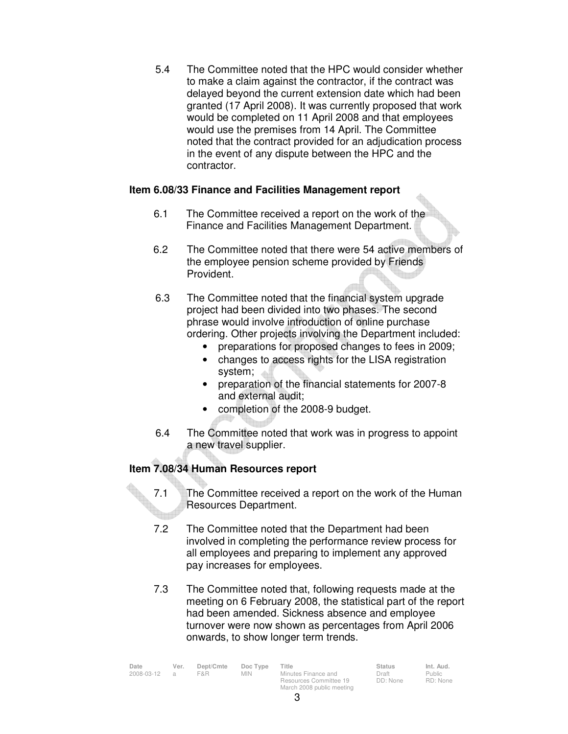5.4 The Committee noted that the HPC would consider whether to make a claim against the contractor, if the contract was delayed beyond the current extension date which had been granted (17 April 2008). It was currently proposed that work would be completed on 11 April 2008 and that employees would use the premises from 14 April. The Committee noted that the contract provided for an adjudication process in the event of any dispute between the HPC and the contractor.

### **Item 6.08/33 Finance and Facilities Management report**

- 6.1 The Committee received a report on the work of the Finance and Facilities Management Department.
- 6.2 The Committee noted that there were 54 active members of the employee pension scheme provided by Friends Provident.
- 6.3 The Committee noted that the financial system upgrade project had been divided into two phases. The second phrase would involve introduction of online purchase ordering. Other projects involving the Department included:
	- preparations for proposed changes to fees in 2009;
	- changes to access rights for the LISA registration system;
	- preparation of the financial statements for 2007-8 and external audit;
	- completion of the 2008-9 budget.
- 6.4 The Committee noted that work was in progress to appoint a new travel supplier.

# **Item 7.08/34 Human Resources report**

- 7.1 The Committee received a report on the work of the Human Resources Department.
- 7.2 The Committee noted that the Department had been involved in completing the performance review process for all employees and preparing to implement any approved pay increases for employees.
- 7.3 The Committee noted that, following requests made at the meeting on 6 February 2008, the statistical part of the report had been amended. Sickness absence and employee turnover were now shown as percentages from April 2006 onwards, to show longer term trends.

| Date       | Ver. | Dept/Cmte | Doc Type   | Title                     | <b>Status</b> | Int. Aud. |
|------------|------|-----------|------------|---------------------------|---------------|-----------|
| 2008-03-12 |      | F&R.      | <b>MIN</b> | Minutes Finance and       | Draft         | Public    |
|            |      |           |            | Resources Committee 19    | DD: None      | RD: Non   |
|            |      |           |            | March 2008 public meeting |               |           |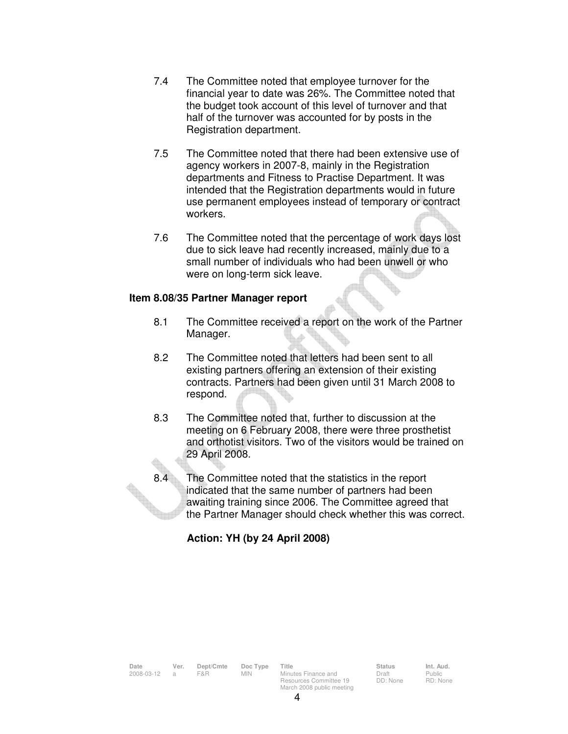- 7.4 The Committee noted that employee turnover for the financial year to date was 26%. The Committee noted that the budget took account of this level of turnover and that half of the turnover was accounted for by posts in the Registration department.
- 7.5 The Committee noted that there had been extensive use of agency workers in 2007-8, mainly in the Registration departments and Fitness to Practise Department. It was intended that the Registration departments would in future use permanent employees instead of temporary or contract workers.
- 7.6 The Committee noted that the percentage of work days lost due to sick leave had recently increased, mainly due to a small number of individuals who had been unwell or who were on long-term sick leave.

### **Item 8.08/35 Partner Manager report**

- 8.1 The Committee received a report on the work of the Partner Manager.
- 8.2 The Committee noted that letters had been sent to all existing partners offering an extension of their existing contracts. Partners had been given until 31 March 2008 to respond.
- 8.3 The Committee noted that, further to discussion at the meeting on 6 February 2008, there were three prosthetist and orthotist visitors. Two of the visitors would be trained on 29 April 2008.
- 8.4 The Committee noted that the statistics in the report indicated that the same number of partners had been awaiting training since 2006. The Committee agreed that the Partner Manager should check whether this was correct.

# **Action: YH (by 24 April 2008)**

4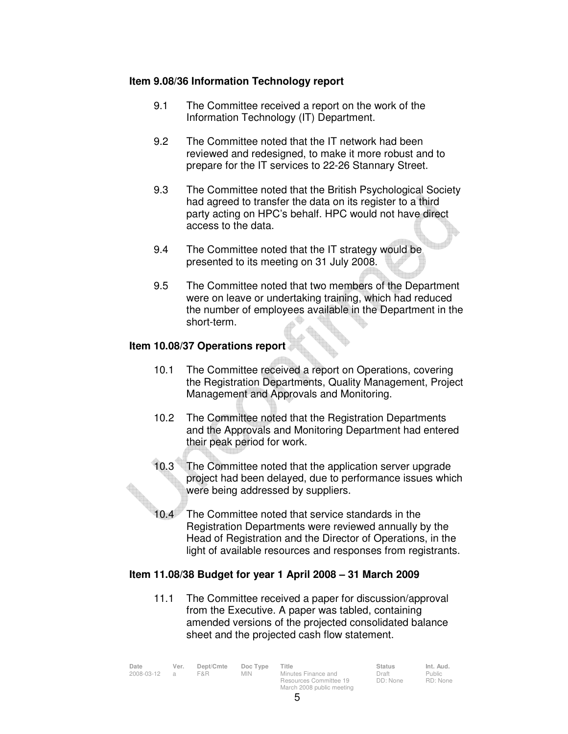#### **Item 9.08/36 Information Technology report**

- 9.1 The Committee received a report on the work of the Information Technology (IT) Department.
- 9.2 The Committee noted that the IT network had been reviewed and redesigned, to make it more robust and to prepare for the IT services to 22-26 Stannary Street.
- 9.3 The Committee noted that the British Psychological Society had agreed to transfer the data on its register to a third party acting on HPC's behalf. HPC would not have direct access to the data.
- 9.4 The Committee noted that the IT strategy would be presented to its meeting on 31 July 2008.
- 9.5 The Committee noted that two members of the Department were on leave or undertaking training, which had reduced the number of employees available in the Department in the short-term.

#### **Item 10.08/37 Operations report**

- 10.1 The Committee received a report on Operations, covering the Registration Departments, Quality Management, Project Management and Approvals and Monitoring.
- 10.2 The Committee noted that the Registration Departments and the Approvals and Monitoring Department had entered their peak period for work.
- 10.3 The Committee noted that the application server upgrade project had been delayed, due to performance issues which were being addressed by suppliers.
- 10.4 The Committee noted that service standards in the Registration Departments were reviewed annually by the Head of Registration and the Director of Operations, in the light of available resources and responses from registrants.

### **Item 11.08/38 Budget for year 1 April 2008 – 31 March 2009**

 11.1 The Committee received a paper for discussion/approval from the Executive. A paper was tabled, containing amended versions of the projected consolidated balance sheet and the projected cash flow statement.

| Date       | Ver.           | Dept/Cmte | Doc Type | Title                                         | <b>Status</b>     | Int. Aud.         |
|------------|----------------|-----------|----------|-----------------------------------------------|-------------------|-------------------|
| 2008-03-12 | $\overline{a}$ | F&R.      | MIN.     | Minutes Finance and<br>Resources Committee 19 | Draft<br>DD: None | Public<br>RD: Non |
|            |                |           |          | March 2008 public meeting                     |                   |                   |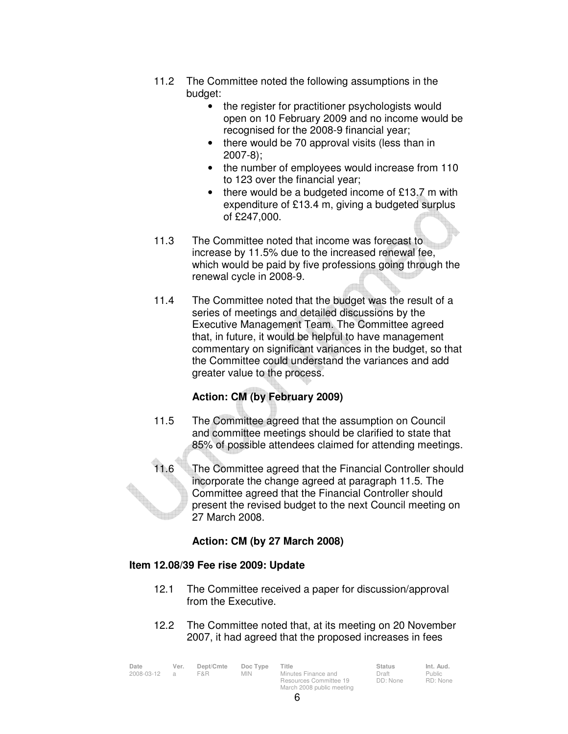- 11.2 The Committee noted the following assumptions in the budget:
	- the register for practitioner psychologists would open on 10 February 2009 and no income would be recognised for the 2008-9 financial year;
	- there would be 70 approval visits (less than in 2007-8);
	- the number of employees would increase from 110 to 123 over the financial year;
	- there would be a budgeted income of £13.7 m with expenditure of £13.4 m, giving a budgeted surplus of £247,000.
- 11.3 The Committee noted that income was forecast to increase by 11.5% due to the increased renewal fee, which would be paid by five professions going through the renewal cycle in 2008-9.
- 11.4 The Committee noted that the budget was the result of a series of meetings and detailed discussions by the Executive Management Team. The Committee agreed that, in future, it would be helpful to have management commentary on significant variances in the budget, so that the Committee could understand the variances and add greater value to the process.

# **Action: CM (by February 2009)**

- 11.5 The Committee agreed that the assumption on Council and committee meetings should be clarified to state that 85% of possible attendees claimed for attending meetings.
- 11.6 The Committee agreed that the Financial Controller should incorporate the change agreed at paragraph 11.5. The Committee agreed that the Financial Controller should present the revised budget to the next Council meeting on 27 March 2008.

# **Action: CM (by 27 March 2008)**

### **Item 12.08/39 Fee rise 2009: Update**

- 12.1 The Committee received a paper for discussion/approval from the Executive.
- 12.2 The Committee noted that, at its meeting on 20 November 2007, it had agreed that the proposed increases in fees

| Date<br>2008-03-12 | Ver.<br>$\overline{a}$ | Dept/Cmte<br>F&R. | Doc Type<br>MIN. | Title<br>Minutes Finance and<br>Resources Committee 19 | <b>Status</b><br>Draft<br>DD: None | Int. Aud.<br>Public<br>RD: None |
|--------------------|------------------------|-------------------|------------------|--------------------------------------------------------|------------------------------------|---------------------------------|
|                    |                        |                   |                  | March 2008 public meeting                              |                                    |                                 |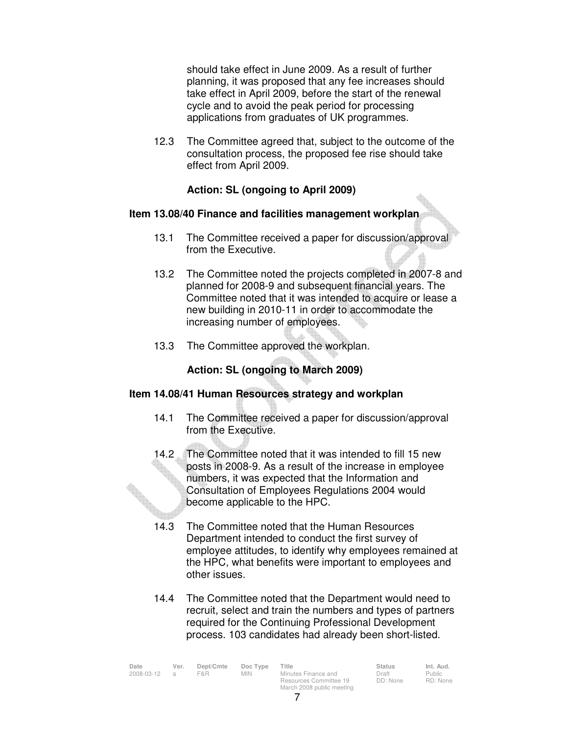should take effect in June 2009. As a result of further planning, it was proposed that any fee increases should take effect in April 2009, before the start of the renewal cycle and to avoid the peak period for processing applications from graduates of UK programmes.

 12.3 The Committee agreed that, subject to the outcome of the consultation process, the proposed fee rise should take effect from April 2009.

### **Action: SL (ongoing to April 2009)**

#### **Item 13.08/40 Finance and facilities management workplan**

- 13.1 The Committee received a paper for discussion/approval from the Executive.
- 13.2 The Committee noted the projects completed in 2007-8 and planned for 2008-9 and subsequent financial years. The Committee noted that it was intended to acquire or lease a new building in 2010-11 in order to accommodate the increasing number of employees.
- 13.3 The Committee approved the workplan.

# **Action: SL (ongoing to March 2009)**

### **Item 14.08/41 Human Resources strategy and workplan**

- 14.1 The Committee received a paper for discussion/approval from the Executive.
- 14.2 The Committee noted that it was intended to fill 15 new posts in 2008-9. As a result of the increase in employee numbers, it was expected that the Information and Consultation of Employees Regulations 2004 would become applicable to the HPC.
- 14.3 The Committee noted that the Human Resources Department intended to conduct the first survey of employee attitudes, to identify why employees remained at the HPC, what benefits were important to employees and other issues.
- 14.4 The Committee noted that the Department would need to recruit, select and train the numbers and types of partners required for the Continuing Professional Development process. 103 candidates had already been short-listed.

| Date       | Ver. | Dept/Cmte | Doc Type   | Title                     | <b>Status</b> | Int. Aud.     |
|------------|------|-----------|------------|---------------------------|---------------|---------------|
| 2008-03-12 |      | F&R       | <b>MIN</b> | Minutes Finance and       | Draft         | <b>Public</b> |
|            |      |           |            | Resources Committee 19    | DD: None      | RD: Non       |
|            |      |           |            | March 2008 public meeting |               |               |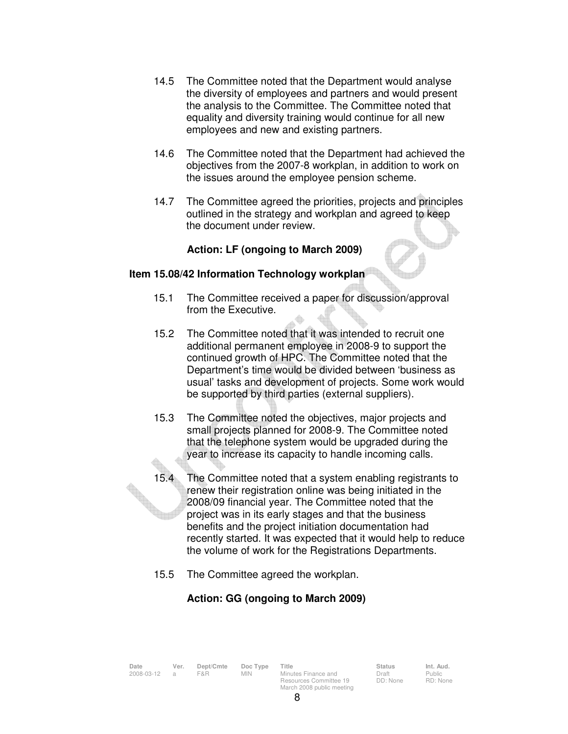- 14.5 The Committee noted that the Department would analyse the diversity of employees and partners and would present the analysis to the Committee. The Committee noted that equality and diversity training would continue for all new employees and new and existing partners.
- 14.6 The Committee noted that the Department had achieved the objectives from the 2007-8 workplan, in addition to work on the issues around the employee pension scheme.
- 14.7 The Committee agreed the priorities, projects and principles outlined in the strategy and workplan and agreed to keep the document under review.

### **Action: LF (ongoing to March 2009)**

### **Item 15.08/42 Information Technology workplan**

- 15.1 The Committee received a paper for discussion/approval from the Executive.
- 15.2 The Committee noted that it was intended to recruit one additional permanent employee in 2008-9 to support the continued growth of HPC. The Committee noted that the Department's time would be divided between 'business as usual' tasks and development of projects. Some work would be supported by third parties (external suppliers).
- 15.3 The Committee noted the objectives, major projects and small projects planned for 2008-9. The Committee noted that the telephone system would be upgraded during the year to increase its capacity to handle incoming calls.
- 15.4 The Committee noted that a system enabling registrants to renew their registration online was being initiated in the 2008/09 financial year. The Committee noted that the project was in its early stages and that the business benefits and the project initiation documentation had recently started. It was expected that it would help to reduce the volume of work for the Registrations Departments.
- 15.5 The Committee agreed the workplan.

# **Action: GG (ongoing to March 2009)**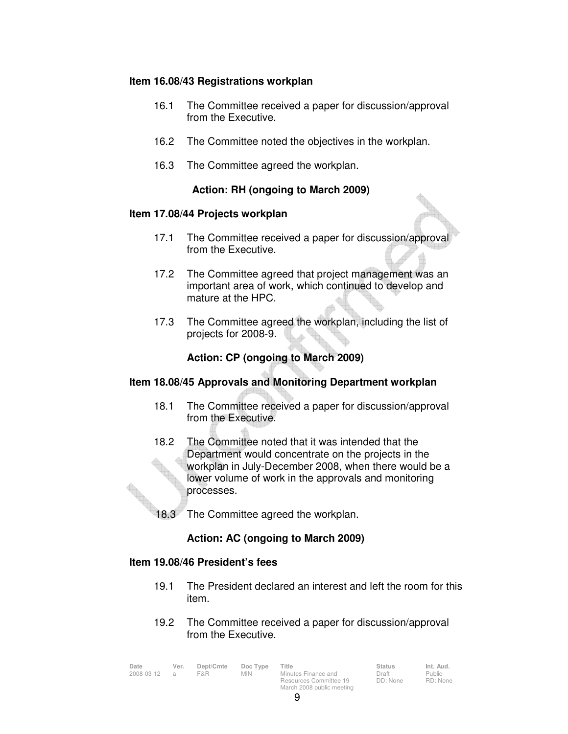#### **Item 16.08/43 Registrations workplan**

- 16.1 The Committee received a paper for discussion/approval from the Executive.
- 16.2 The Committee noted the objectives in the workplan.
- 16.3 The Committee agreed the workplan.

### **Action: RH (ongoing to March 2009)**

#### **Item 17.08/44 Projects workplan**

- 17.1 The Committee received a paper for discussion/approval from the Executive.
- 17.2 The Committee agreed that project management was an important area of work, which continued to develop and mature at the HPC.
- 17.3 The Committee agreed the workplan, including the list of projects for 2008-9.

### **Action: CP (ongoing to March 2009)**

### **Item 18.08/45 Approvals and Monitoring Department workplan**

- 18.1 The Committee received a paper for discussion/approval from the Executive.
- 18.2 The Committee noted that it was intended that the Department would concentrate on the projects in the workplan in July-December 2008, when there would be a lower volume of work in the approvals and monitoring processes.
- 18.3 The Committee agreed the workplan.

# **Action: AC (ongoing to March 2009)**

#### **Item 19.08/46 President's fees**

- 19.1 The President declared an interest and left the room for this item.
- 19.2 The Committee received a paper for discussion/approval from the Executive.

| Date       | Ver. | Dept/Cmte | Doc Type | Title                                         | <b>Status</b>     | Int. Aud.         |
|------------|------|-----------|----------|-----------------------------------------------|-------------------|-------------------|
| 2008-03-12 |      | F&R.      | MIN.     | Minutes Finance and<br>Resources Committee 19 | Draft<br>DD: None | Public<br>RD: Non |
|            |      |           |          | March 2008 public meeting                     |                   |                   |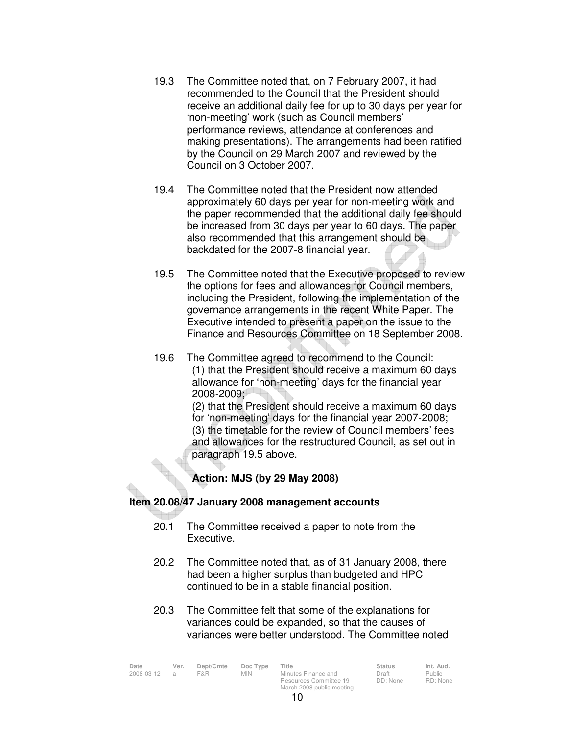- 19.3 The Committee noted that, on 7 February 2007, it had recommended to the Council that the President should receive an additional daily fee for up to 30 days per year for 'non-meeting' work (such as Council members' performance reviews, attendance at conferences and making presentations). The arrangements had been ratified by the Council on 29 March 2007 and reviewed by the Council on 3 October 2007.
- 19.4 The Committee noted that the President now attended approximately 60 days per year for non-meeting work and the paper recommended that the additional daily fee should be increased from 30 days per year to 60 days. The paper also recommended that this arrangement should be backdated for the 2007-8 financial year.
- 19.5 The Committee noted that the Executive proposed to review the options for fees and allowances for Council members, including the President, following the implementation of the governance arrangements in the recent White Paper. The Executive intended to present a paper on the issue to the Finance and Resources Committee on 18 September 2008.
- 19.6 The Committee agreed to recommend to the Council: (1) that the President should receive a maximum 60 days allowance for 'non-meeting' days for the financial year 2008-2009;

(2) that the President should receive a maximum 60 days for 'non-meeting' days for the financial year 2007-2008; (3) the timetable for the review of Council members' fees and allowances for the restructured Council, as set out in paragraph 19.5 above.

# **Action: MJS (by 29 May 2008)**

# **Item 20.08/47 January 2008 management accounts**

- 20.1 The Committee received a paper to note from the Executive.
- 20.2 The Committee noted that, as of 31 January 2008, there had been a higher surplus than budgeted and HPC continued to be in a stable financial position.
- 20.3 The Committee felt that some of the explanations for variances could be expanded, so that the causes of variances were better understood. The Committee noted

| Date       | Ver. | Dept/Cmte | Doc Type   | Title                     | <b>Status</b> | Int. Aud.     |
|------------|------|-----------|------------|---------------------------|---------------|---------------|
| 2008-03-12 |      | F&R       | <b>MIN</b> | Minutes Finance and       | Draft         | <b>Public</b> |
|            |      |           |            | Resources Committee 19    | DD: None      | RD: Non       |
|            |      |           |            | March 2008 public meeting |               |               |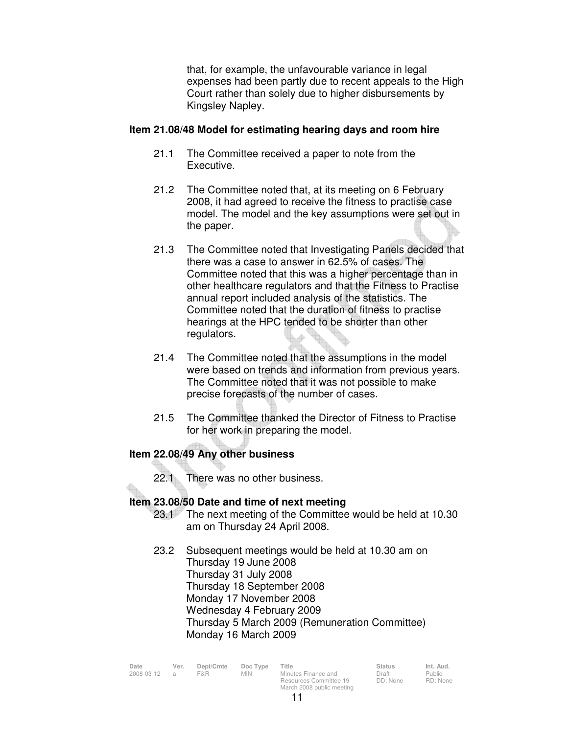that, for example, the unfavourable variance in legal expenses had been partly due to recent appeals to the High Court rather than solely due to higher disbursements by Kingsley Napley.

#### **Item 21.08/48 Model for estimating hearing days and room hire**

- 21.1 The Committee received a paper to note from the Executive.
- 21.2 The Committee noted that, at its meeting on 6 February 2008, it had agreed to receive the fitness to practise case model. The model and the key assumptions were set out in the paper.
- 21.3 The Committee noted that Investigating Panels decided that there was a case to answer in 62.5% of cases. The Committee noted that this was a higher percentage than in other healthcare regulators and that the Fitness to Practise annual report included analysis of the statistics. The Committee noted that the duration of fitness to practise hearings at the HPC tended to be shorter than other regulators.
- 21.4 The Committee noted that the assumptions in the model were based on trends and information from previous years. The Committee noted that it was not possible to make precise forecasts of the number of cases.
- 21.5 The Committee thanked the Director of Fitness to Practise for her work in preparing the model.

# **Item 22.08/49 Any other business**

22.1 There was no other business.

### **Item 23.08/50 Date and time of next meeting**

- 23.1 The next meeting of the Committee would be held at 10.30 am on Thursday 24 April 2008.
- 23.2 Subsequent meetings would be held at 10.30 am on Thursday 19 June 2008 Thursday 31 July 2008 Thursday 18 September 2008 Monday 17 November 2008 Wednesday 4 February 2009 Thursday 5 March 2009 (Remuneration Committee) Monday 16 March 2009

| Date       | Ver. | Dept/Cmte | Doc Type | Title                     | <b>Status</b> | Int. Aud. |
|------------|------|-----------|----------|---------------------------|---------------|-----------|
| 2008-03-12 |      | F&R.      | MIN.     | Minutes Finance and       | Draft         | Public    |
|            |      |           |          | Resources Committee 19    | DD: None      | RD: Non   |
|            |      |           |          | March 2008 public meeting |               |           |